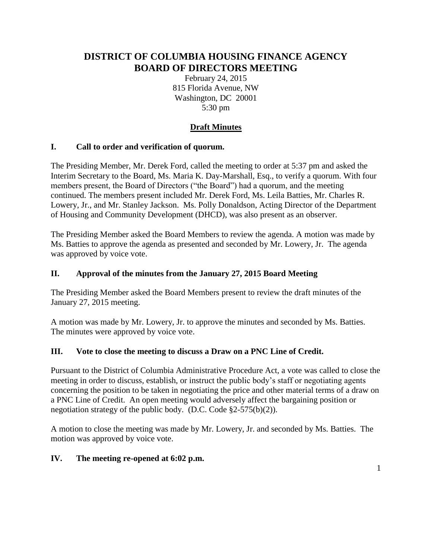# **DISTRICT OF COLUMBIA HOUSING FINANCE AGENCY BOARD OF DIRECTORS MEETING**

February 24, 2015 815 Florida Avenue, NW Washington, DC 20001 5:30 pm

# **Draft Minutes**

### **I. Call to order and verification of quorum.**

The Presiding Member, Mr. Derek Ford, called the meeting to order at 5:37 pm and asked the Interim Secretary to the Board, Ms. Maria K. Day-Marshall, Esq., to verify a quorum. With four members present, the Board of Directors ("the Board") had a quorum, and the meeting continued. The members present included Mr. Derek Ford, Ms. Leila Batties, Mr. Charles R. Lowery, Jr., and Mr. Stanley Jackson. Ms. Polly Donaldson, Acting Director of the Department of Housing and Community Development (DHCD), was also present as an observer.

The Presiding Member asked the Board Members to review the agenda. A motion was made by Ms. Batties to approve the agenda as presented and seconded by Mr. Lowery, Jr. The agenda was approved by voice vote.

#### **II. Approval of the minutes from the January 27, 2015 Board Meeting**

The Presiding Member asked the Board Members present to review the draft minutes of the January 27, 2015 meeting.

A motion was made by Mr. Lowery, Jr. to approve the minutes and seconded by Ms. Batties. The minutes were approved by voice vote.

#### **III. Vote to close the meeting to discuss a Draw on a PNC Line of Credit.**

Pursuant to the District of Columbia Administrative Procedure Act, a vote was called to close the meeting in order to discuss, establish, or instruct the public body's staff or negotiating agents concerning the position to be taken in negotiating the price and other material terms of a draw on a PNC Line of Credit. An open meeting would adversely affect the bargaining position or negotiation strategy of the public body. (D.C. Code §2-575(b)(2)).

A motion to close the meeting was made by Mr. Lowery, Jr. and seconded by Ms. Batties. The motion was approved by voice vote.

#### **IV. The meeting re-opened at 6:02 p.m.**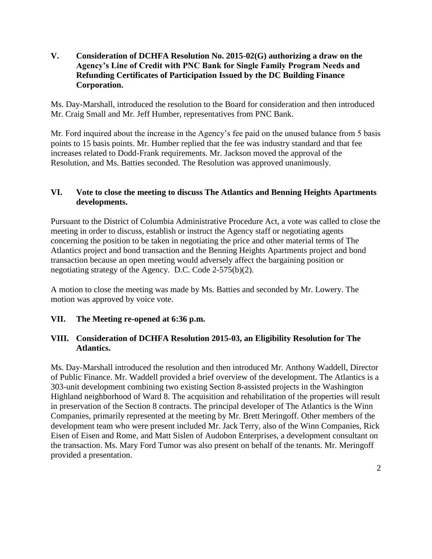**V. Consideration of DCHFA Resolution No. 2015-02(G) authorizing a draw on the Agency's Line of Credit with PNC Bank for Single Family Program Needs and Refunding Certificates of Participation Issued by the DC Building Finance Corporation.**

Ms. Day-Marshall, introduced the resolution to the Board for consideration and then introduced Mr. Craig Small and Mr. Jeff Humber, representatives from PNC Bank.

Mr. Ford inquired about the increase in the Agency's fee paid on the unused balance from 5 basis points to 15 basis points. Mr. Humber replied that the fee was industry standard and that fee increases related to Dodd-Frank requirements. Mr. Jackson moved the approval of the Resolution, and Ms. Batties seconded. The Resolution was approved unanimously.

#### **VI. Vote to close the meeting to discuss The Atlantics and Benning Heights Apartments developments.**

Pursuant to the District of Columbia Administrative Procedure Act, a vote was called to close the meeting in order to discuss, establish or instruct the Agency staff or negotiating agents concerning the position to be taken in negotiating the price and other material terms of The Atlantics project and bond transaction and the Benning Heights Apartments project and bond transaction because an open meeting would adversely affect the bargaining position or negotiating strategy of the Agency. D.C. Code 2-575(b)(2).

A motion to close the meeting was made by Ms. Batties and seconded by Mr. Lowery. The motion was approved by voice vote.

#### **VII. The Meeting re-opened at 6:36 p.m.**

### **VIII. Consideration of DCHFA Resolution 2015-03, an Eligibility Resolution for The Atlantics.**

Ms. Day-Marshall introduced the resolution and then introduced Mr. Anthony Waddell, Director of Public Finance. Mr. Waddell provided a brief overview of the development. The Atlantics is a 303-unit development combining two existing Section 8-assisted projects in the Washington Highland neighborhood of Ward 8. The acquisition and rehabilitation of the properties will result in preservation of the Section 8 contracts. The principal developer of The Atlantics is the Winn Companies, primarily represented at the meeting by Mr. Brett Meringoff. Other members of the development team who were present included Mr. Jack Terry, also of the Winn Companies, Rick Eisen of Eisen and Rome, and Matt Sislen of Audobon Enterprises, a development consultant on the transaction. Ms. Mary Ford Tumor was also present on behalf of the tenants. Mr. Meringoff provided a presentation.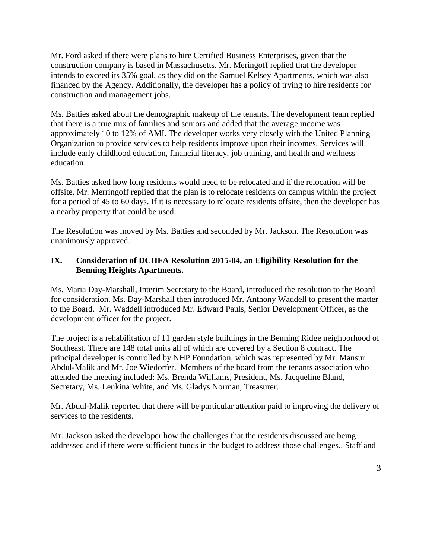Mr. Ford asked if there were plans to hire Certified Business Enterprises, given that the construction company is based in Massachusetts. Mr. Meringoff replied that the developer intends to exceed its 35% goal, as they did on the Samuel Kelsey Apartments, which was also financed by the Agency. Additionally, the developer has a policy of trying to hire residents for construction and management jobs.

Ms. Batties asked about the demographic makeup of the tenants. The development team replied that there is a true mix of families and seniors and added that the average income was approximately 10 to 12% of AMI. The developer works very closely with the United Planning Organization to provide services to help residents improve upon their incomes. Services will include early childhood education, financial literacy, job training, and health and wellness education.

Ms. Batties asked how long residents would need to be relocated and if the relocation will be offsite. Mr. Merringoff replied that the plan is to relocate residents on campus within the project for a period of 45 to 60 days. If it is necessary to relocate residents offsite, then the developer has a nearby property that could be used.

The Resolution was moved by Ms. Batties and seconded by Mr. Jackson. The Resolution was unanimously approved.

### **IX. Consideration of DCHFA Resolution 2015-04, an Eligibility Resolution for the Benning Heights Apartments.**

Ms. Maria Day-Marshall, Interim Secretary to the Board, introduced the resolution to the Board for consideration. Ms. Day-Marshall then introduced Mr. Anthony Waddell to present the matter to the Board. Mr. Waddell introduced Mr. Edward Pauls, Senior Development Officer, as the development officer for the project.

The project is a rehabilitation of 11 garden style buildings in the Benning Ridge neighborhood of Southeast. There are 148 total units all of which are covered by a Section 8 contract. The principal developer is controlled by NHP Foundation, which was represented by Mr. Mansur Abdul-Malik and Mr. Joe Wiedorfer. Members of the board from the tenants association who attended the meeting included: Ms. Brenda Williams, President, Ms. Jacqueline Bland, Secretary, Ms. Leukina White, and Ms. Gladys Norman, Treasurer.

Mr. Abdul-Malik reported that there will be particular attention paid to improving the delivery of services to the residents.

Mr. Jackson asked the developer how the challenges that the residents discussed are being addressed and if there were sufficient funds in the budget to address those challenges.. Staff and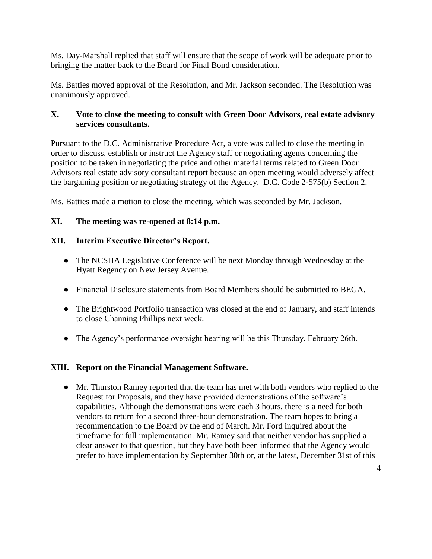Ms. Day-Marshall replied that staff will ensure that the scope of work will be adequate prior to bringing the matter back to the Board for Final Bond consideration.

Ms. Batties moved approval of the Resolution, and Mr. Jackson seconded. The Resolution was unanimously approved.

### **X. Vote to close the meeting to consult with Green Door Advisors, real estate advisory services consultants.**

Pursuant to the D.C. Administrative Procedure Act, a vote was called to close the meeting in order to discuss, establish or instruct the Agency staff or negotiating agents concerning the position to be taken in negotiating the price and other material terms related to Green Door Advisors real estate advisory consultant report because an open meeting would adversely affect the bargaining position or negotiating strategy of the Agency. D.C. Code 2-575(b) Section 2.

Ms. Batties made a motion to close the meeting, which was seconded by Mr. Jackson.

# **XI. The meeting was re-opened at 8:14 p.m.**

# **XII. Interim Executive Director's Report.**

- The NCSHA Legislative Conference will be next Monday through Wednesday at the Hyatt Regency on New Jersey Avenue.
- Financial Disclosure statements from Board Members should be submitted to BEGA.
- The Brightwood Portfolio transaction was closed at the end of January, and staff intends to close Channing Phillips next week.
- The Agency's performance oversight hearing will be this Thursday, February 26th.

# **XIII. Report on the Financial Management Software.**

● Mr. Thurston Ramey reported that the team has met with both vendors who replied to the Request for Proposals, and they have provided demonstrations of the software's capabilities. Although the demonstrations were each 3 hours, there is a need for both vendors to return for a second three-hour demonstration. The team hopes to bring a recommendation to the Board by the end of March. Mr. Ford inquired about the timeframe for full implementation. Mr. Ramey said that neither vendor has supplied a clear answer to that question, but they have both been informed that the Agency would prefer to have implementation by September 30th or, at the latest, December 31st of this